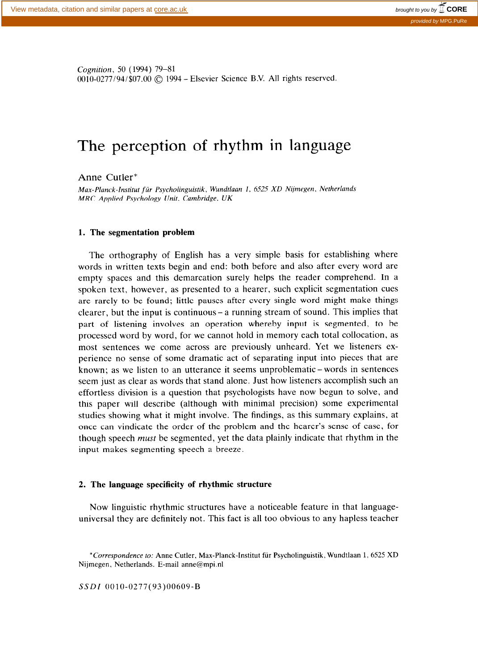**Cognition, 50 (1994) 79-81 OOlO-0277/94/\$07.00 0 1994 -** Elsevier Science B.V. All rights reserved.

# The perception of rhythm in language

Anne Cutler\*

Max-Planck-Institut für Psycholinguistik, Wundtlaan 1, 6525 XD Nijmegen, Netherlands *MRC Applied Psychology Unit. Cambridge, UK* 

#### **1. The segmentation problem**

The orthography of English has a very simple basis for establishing where words in written texts begin and end: both before and also after every word are empty spaces and this demarcation surely helps the reader comprehend. In a spoken text, however, as presented to a hearer, such explicit segmentation cues are rarely to be found; little pauses after every single word might make things clearer, but the input is continuous - a running stream of sound. This implies that part of listening involves an operation whereby input is segmented, to be processed word by word, for we cannot hold in memory each total collocation, as most sentences we come across are previously unheard. Yet we listeners experience no sense of some dramatic act of separating input into pieces that are known; as we listen to an utterance it seems unproblematic-words in sentences seem just as clear as words that stand alone. Just how listeners accomplish such an effortless division is a question that psychologists have now begun to solve, and this paper will describe (although with minimal precision) some experimental studies showing what it might involve. The findings, as this summary explains, at once can vindicate the order of the problem and the hearer's sense of ease, for though speech *must* be segmented, yet the data plainly indicate that rhythm in the input makes segmenting speech a breeze.

## 2. **The language specificity of rhythmic structure**

Now linguistic rhythmic structures have a noticeable feature in that languageuniversal they are definitely not. This fact is all too obvious to any hapless teacher

SSDI 0010-0277(93)00609-B

*<sup>\*</sup>Correspondence to:* Anne Cutler, Max-Planck-Institut fiir Psycholinguistik, Wundtlaan 1, 6525 XD Nijmegen, Netherlands. E-mail anne@mpi.nl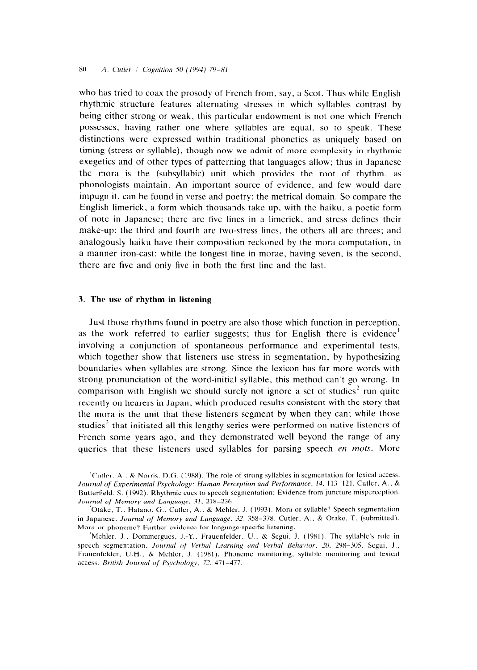who has tried to coax the prosody of French from, say. a Scot. Thus while English rhythmic structure features alternating stresses in which syllables contrast by being either strong or weak, this particular endowment is not one which French possesses, having rather one where syllables are equal, so to speak. These distinctions were expressed within traditional phonetics as uniquely based on timing (stress or syllable), though now we admit of more complexity in rhythmic exegetics and of other types of patterning that languages allow; thus in Japanese the mora is the (subsyllabic) unit which provides the root of rhythm, as phonologists maintain. An important source of evidence, and few would dare impugn it, can be found in verse and poetry: the metrical domain. So compare the English limerick. a form which thousands take up, with the haiku. a poetic form of note in Japanese; there are five lines in a limerick. and stress defines their make-up: the third and fourth are two-stress lines, the others all are threes; and analogously haiku have their composition reckoned by the mora computation. in a manner iron-cast: while the longest line in morae, having seven, is the second, there arc five and only five in both the first line and the last.

#### 3. **The use of rhythm in listening**

Just those rhythms found in poetry are also those which function in perception, as the work referred to earlier suggests; thus for English there is evidence' involving a conjunction of spontaneous performance and experimental tests, which together show that listeners use stress in segmentation, by hypothesizing boundaries when syllables are strong. Since the lexicon has far more words with strong pronunciation of the word-initial syllable, this method can't go wrong. In comparison with English we should surely not ignore a set of studies' run quite recently on hearers in Japan, which produced results consistent with the story that the mora is the unit that these listeners segment by when they can; while those studies<sup>3</sup> that initiated all this lengthy series were performed on native listeners of French some years ago, and they demonstrated well beyond the range of any queries that these listeners used syllables for parsing speech *en mots*. More

<sup>&</sup>lt;sup>1</sup>Cutler, A., & Norris, D.G. (1988). The role of strong syllables in segmentation for lexical access. *Journul of Experimental Psychology: Human Perception und Performance. 14. 113-121.* Cutler, A.. & Butterfield, S. (1992). Rhythmic cues to speech segmentation: Evidence from juncture misperception. *Joumul of Memory und Language. 31. 218-236.* 

 ${}^{2}$ Otake, T., Hatano, G., Cutler, A., & Mehler, J. (1993). Mora or syllable? Speech segmentation in Japanese. *Journal of Memory and Language*, 32, 358-378. Cutler, A., & Otake, T. (submitted). Mora or phoneme'? Further evidence for language-specific listening.

<sup>&</sup>lt;sup>3</sup>Mehler, J., Dommergues, J.-Y., Frauenfelder, U., & Segui, J. (1981). The syllable's role in speech segmentation, *Journal of Verbal Learning and Verbal Behavior*, 20, 298-305. Segui, J., Frauenfelder, U.H., & Mehler, J. (1981). Phoneme monitoring, syllable monitoring and lexical access. *British Journal of Psychology*, 72, 471-477.